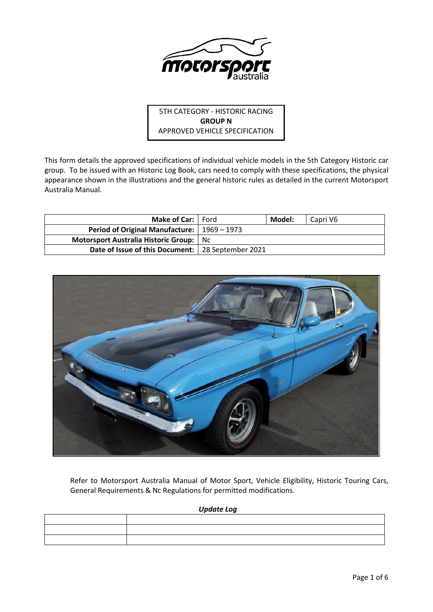

5TH CATEGORY - HISTORIC RACING **GROUP N** APPROVED VEHICLE SPECIFICATION

This form details the approved specifications of individual vehicle models in the 5th Category Historic car group. To be issued with an Historic Log Book, cars need to comply with these specifications, the physical appearance shown in the illustrations and the general historic rules as detailed in the current Motorsport Australia Manual.

| Make of Car:   Ford                                  | Model: | Capri V6 |
|------------------------------------------------------|--------|----------|
| <b>Period of Original Manufacture:</b>   1969 – 1973 |        |          |
| Motorsport Australia Historic Group:   Nc            |        |          |
| Date of Issue of this Document:   28 September 2021  |        |          |



Refer to Motorsport Australia Manual of Motor Sport, Vehicle Eligibility, Historic Touring Cars, General Requirements & Nc Regulations for permitted modifications.

## *Update Log*

| the contract of the contract of the contract of the contract of the contract of |  |
|---------------------------------------------------------------------------------|--|
|                                                                                 |  |
|                                                                                 |  |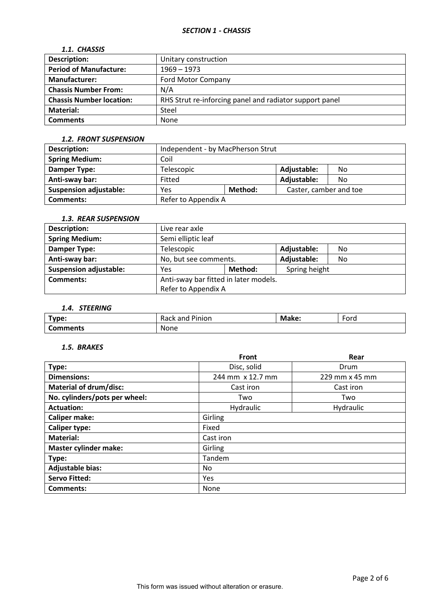# *1.1. CHASSIS*

| <b>Description:</b>             | Unitary construction                                    |
|---------------------------------|---------------------------------------------------------|
| <b>Period of Manufacture:</b>   | $1969 - 1973$                                           |
| <b>Manufacturer:</b>            | <b>Ford Motor Company</b>                               |
| <b>Chassis Number From:</b>     | N/A                                                     |
| <b>Chassis Number location:</b> | RHS Strut re-inforcing panel and radiator support panel |
| Material:                       | Steel                                                   |
| <b>Comments</b>                 | None                                                    |

#### *1.2. FRONT SUSPENSION*

| <b>Description:</b>           | Independent - by MacPherson Strut        |                    |  |  |
|-------------------------------|------------------------------------------|--------------------|--|--|
| <b>Spring Medium:</b>         | Coil                                     |                    |  |  |
| Damper Type:                  | Telescopic                               | Adjustable:<br>No. |  |  |
| Anti-sway bar:                | Adjustable:<br>Fitted<br>No.             |                    |  |  |
| <b>Suspension adjustable:</b> | Caster, camber and toe<br>Method:<br>Yes |                    |  |  |
| <b>Comments:</b>              | Refer to Appendix A                      |                    |  |  |

# *1.3. REAR SUSPENSION*

| <b>Description:</b>           | Live rear axle                        |  |             |     |
|-------------------------------|---------------------------------------|--|-------------|-----|
| <b>Spring Medium:</b>         | Semi elliptic leaf                    |  |             |     |
| <b>Damper Type:</b>           | Adjustable:<br>Telescopic<br>No       |  |             |     |
| Anti-sway bar:                | No, but see comments.                 |  | Adjustable: | No. |
| <b>Suspension adjustable:</b> | Method:<br>Spring height<br>Yes       |  |             |     |
| <b>Comments:</b>              | Anti-sway bar fitted in later models. |  |             |     |
|                               | Refer to Appendix A                   |  |             |     |

# *1.4. STEERING*

| Type:           | ' Pinion<br>Rack and | Make: | $\overline{\phantom{0}}$<br>Ford |
|-----------------|----------------------|-------|----------------------------------|
| <b>Comments</b> | None                 |       |                                  |

## *1.5. BRAKES*

|                               | <b>Front</b>     | Rear           |  |  |
|-------------------------------|------------------|----------------|--|--|
| Type:                         | Disc, solid      | Drum           |  |  |
| <b>Dimensions:</b>            | 244 mm x 12.7 mm | 229 mm x 45 mm |  |  |
| <b>Material of drum/disc:</b> | Cast iron        | Cast iron      |  |  |
| No. cylinders/pots per wheel: | Two              | Two            |  |  |
| <b>Actuation:</b>             | Hydraulic        | Hydraulic      |  |  |
| <b>Caliper make:</b>          | Girling          |                |  |  |
| <b>Caliper type:</b>          | Fixed            |                |  |  |
| <b>Material:</b>              | Cast iron        |                |  |  |
| <b>Master cylinder make:</b>  | Girling          |                |  |  |
| Type:                         | Tandem           |                |  |  |
| Adjustable bias:              | No               |                |  |  |
| <b>Servo Fitted:</b>          | Yes              |                |  |  |
| Comments:                     | None             |                |  |  |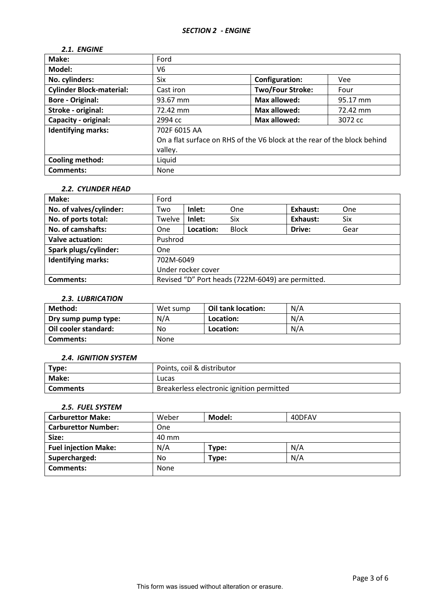# *2.1. ENGINE*

| Make:                           | Ford                                                                     |                         |          |
|---------------------------------|--------------------------------------------------------------------------|-------------------------|----------|
| Model:                          | V6                                                                       |                         |          |
| No. cylinders:                  | Six                                                                      | <b>Configuration:</b>   | Vee      |
| <b>Cylinder Block-material:</b> | Cast iron                                                                | <b>Two/Four Stroke:</b> | Four     |
| <b>Bore - Original:</b>         | 93.67 mm                                                                 | <b>Max allowed:</b>     | 95.17 mm |
| Stroke - original:              | 72.42 mm                                                                 | <b>Max allowed:</b>     | 72.42 mm |
| Capacity - original:            | 2994 cc                                                                  | <b>Max allowed:</b>     | 3072 cc  |
| <b>Identifying marks:</b>       | 702F 6015 AA                                                             |                         |          |
|                                 | On a flat surface on RHS of the V6 block at the rear of the block behind |                         |          |
|                                 | valley.                                                                  |                         |          |
| <b>Cooling method:</b>          | Liquid                                                                   |                         |          |
| <b>Comments:</b>                | None                                                                     |                         |          |

### *2.2. CYLINDER HEAD*

| Make:                     | Ford                                              |           |              |          |      |
|---------------------------|---------------------------------------------------|-----------|--------------|----------|------|
| No. of valves/cylinder:   | Two                                               | Inlet:    | One          | Exhaust: | One  |
| No. of ports total:       | Twelve                                            | Inlet:    | Six          | Exhaust: | Six  |
| No. of camshafts:         | <b>One</b>                                        | Location: | <b>Block</b> | Drive:   | Gear |
| Valve actuation:          | Pushrod                                           |           |              |          |      |
| Spark plugs/cylinder:     | <b>One</b>                                        |           |              |          |      |
| <b>Identifying marks:</b> | 702M-6049                                         |           |              |          |      |
|                           | Under rocker cover                                |           |              |          |      |
| Comments:                 | Revised "D" Port heads (722M-6049) are permitted. |           |              |          |      |

## *2.3. LUBRICATION*

| Method:              | Wet sump | Oil tank location: | N/A |
|----------------------|----------|--------------------|-----|
| Dry sump pump type:  | N/A      | Location:          | N/A |
| Oil cooler standard: | No       | Location:          | N/A |
| Comments:            | None     |                    |     |

### *2.4. IGNITION SYSTEM*

| Type:           | Points, coil & distributor                |
|-----------------|-------------------------------------------|
| Make:           | Lucas                                     |
| <b>Comments</b> | Breakerless electronic ignition permitted |

## *2.5. FUEL SYSTEM*

| <b>Carburettor Make:</b>    | Weber | Model: | 40DFAV |
|-----------------------------|-------|--------|--------|
| <b>Carburettor Number:</b>  | One   |        |        |
| Size:                       | 40 mm |        |        |
| <b>Fuel injection Make:</b> | N/A   | Type:  | N/A    |
| Supercharged:               | No    | Type:  | N/A    |
| <b>Comments:</b>            | None  |        |        |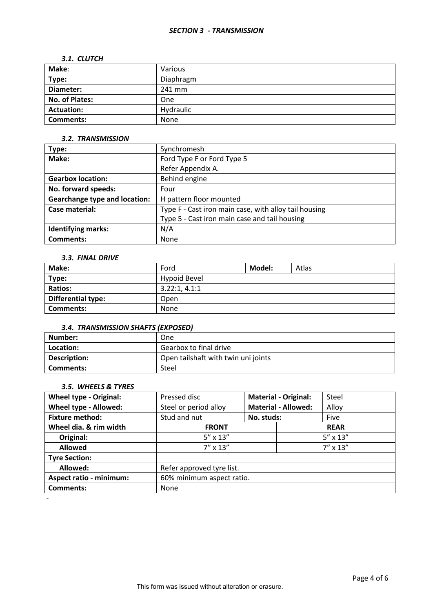### *SECTION 3 - TRANSMISSION*

#### *3.1. CLUTCH*

| Make:             | Various   |
|-------------------|-----------|
| Type:             | Diaphragm |
| Diameter:         | 241 mm    |
| No. of Plates:    | One       |
| <b>Actuation:</b> | Hydraulic |
| <b>Comments:</b>  | None      |

## *3.2. TRANSMISSION*

| Type:                                | Synchromesh                                           |
|--------------------------------------|-------------------------------------------------------|
| Make:                                | Ford Type F or Ford Type 5                            |
|                                      | Refer Appendix A.                                     |
| <b>Gearbox location:</b>             | Behind engine                                         |
| No. forward speeds:                  | Four                                                  |
| <b>Gearchange type and location:</b> | H pattern floor mounted                               |
| Case material:                       | Type F - Cast iron main case, with alloy tail housing |
|                                      | Type 5 - Cast iron main case and tail housing         |
| <b>Identifying marks:</b>            | N/A                                                   |
| Comments:                            | None                                                  |

### *3.3. FINAL DRIVE*

| Make:                     | Ford          | Model: | Atlas |
|---------------------------|---------------|--------|-------|
| Type:                     | Hypoid Bevel  |        |       |
| <b>Ratios:</b>            | 3.22:1, 4.1:1 |        |       |
| <b>Differential type:</b> | Open          |        |       |
| <b>Comments:</b>          | None          |        |       |

## *3.4. TRANSMISSION SHAFTS (EXPOSED)*

| Number:      | One                                 |
|--------------|-------------------------------------|
| Location:    | Gearbox to final drive              |
| Description: | Open tailshaft with twin uni joints |
| l Comments:  | Steel                               |

# *3.5. WHEELS & TYRES*

| <b>Wheel type - Original:</b>  | Pressed disc              | <b>Material - Original:</b> |  | Steel             |  |
|--------------------------------|---------------------------|-----------------------------|--|-------------------|--|
| Wheel type - Allowed:          | Steel or period alloy     | <b>Material - Allowed:</b>  |  | Alloy             |  |
| <b>Fixture method:</b>         | Stud and nut              | No. studs:                  |  | Five              |  |
| Wheel dia. & rim width         | <b>FRONT</b>              |                             |  | <b>REAR</b>       |  |
| Original:                      | $5'' \times 13''$         |                             |  | $5'' \times 13''$ |  |
| <b>Allowed</b>                 | $7'' \times 13''$         |                             |  | $7'' \times 13''$ |  |
| <b>Tyre Section:</b>           |                           |                             |  |                   |  |
| Allowed:                       | Refer approved tyre list. |                             |  |                   |  |
| <b>Aspect ratio - minimum:</b> | 60% minimum aspect ratio. |                             |  |                   |  |
| <b>Comments:</b>               | None                      |                             |  |                   |  |
|                                |                           |                             |  |                   |  |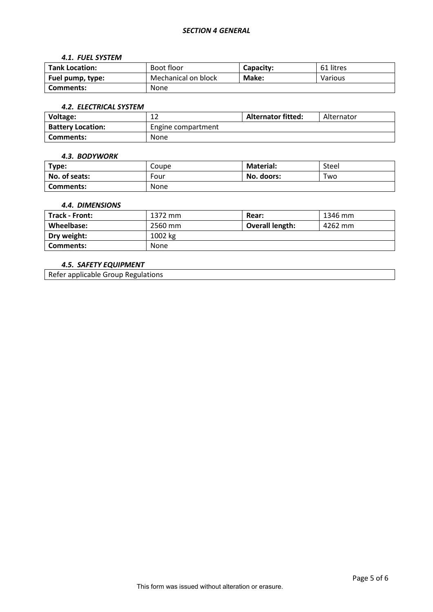#### *4.1. FUEL SYSTEM*

| <b>Tank Location:</b> | Boot floor          | Capacity: | 61 litres |
|-----------------------|---------------------|-----------|-----------|
| Fuel pump, type:      | Mechanical on block | Make:     | Various   |
| Comments:             | <b>None</b>         |           |           |

#### *4.2. ELECTRICAL SYSTEM*

| Voltage:                 | ∸                  | <b>Alternator fitted:</b> | Alternator |
|--------------------------|--------------------|---------------------------|------------|
| <b>Battery Location:</b> | Engine compartment |                           |            |
| Comments:                | None               |                           |            |

#### *4.3. BODYWORK*

| Type:            | Coupe       | <b>Material:</b> | Steel |
|------------------|-------------|------------------|-------|
| No. of seats:    | Four        | No. doors:       | Two   |
| <b>Comments:</b> | <b>None</b> |                  |       |

## *4.4. DIMENSIONS*

| <b>Track - Front:</b> | 1372 mm | Rear:           | 1346 mm |
|-----------------------|---------|-----------------|---------|
| Wheelbase:            | 2560 mm | Overall length: | 4262 mm |
| Dry weight:           | 1002 kg |                 |         |
| Comments:             | None    |                 |         |

# *4.5. SAFETY EQUIPMENT*

Refer applicable Group Regulations